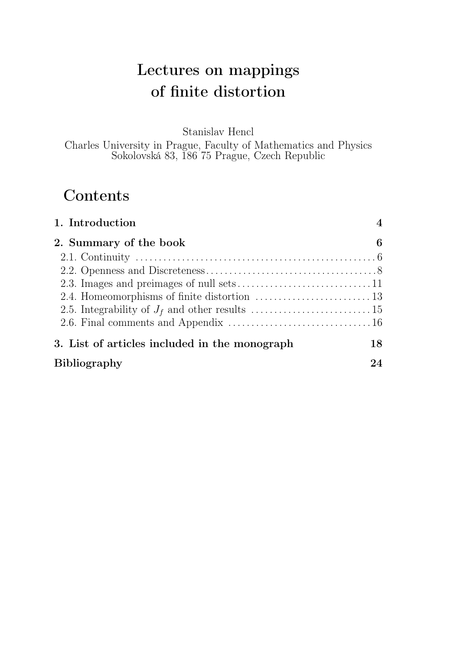# Lectures on mappings of finite distortion

Stanislav Hencl

Charles University in Prague, Faculty of Mathematics and Physics Sokolovská 83, 186 75 Prague, Czech Republic

# **Contents**

| 1. Introduction<br>2. Summary of the book     | $\overline{A}$<br>6 |  |  |
|-----------------------------------------------|---------------------|--|--|
|                                               |                     |  |  |
|                                               |                     |  |  |
|                                               |                     |  |  |
|                                               |                     |  |  |
| 3. List of articles included in the monograph | 18                  |  |  |
| <b>Bibliography</b>                           | 24                  |  |  |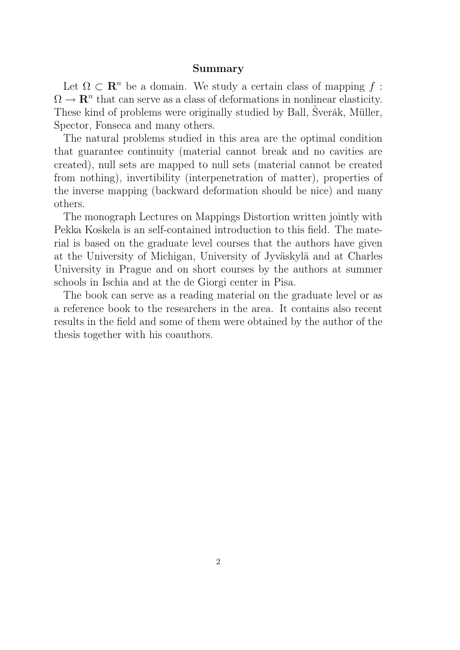#### Summary

Let  $\Omega \subset \mathbf{R}^n$  be a domain. We study a certain class of mapping f:  $\Omega \to \mathbf{R}^n$  that can serve as a class of deformations in nonlinear elasticity. These kind of problems were originally studied by Ball, Šverák, Müller, Spector, Fonseca and many others.

The natural problems studied in this area are the optimal condition that guarantee continuity (material cannot break and no cavities are created), null sets are mapped to null sets (material cannot be created from nothing), invertibility (interpenetration of matter), properties of the inverse mapping (backward deformation should be nice) and many others.

The monograph Lectures on Mappings Distortion written jointly with Pekka Koskela is an self-contained introduction to this field. The material is based on the graduate level courses that the authors have given at the University of Michigan, University of Jyväskylä and at Charles University in Prague and on short courses by the authors at summer schools in Ischia and at the de Giorgi center in Pisa.

The book can serve as a reading material on the graduate level or as a reference book to the researchers in the area. It contains also recent results in the field and some of them were obtained by the author of the thesis together with his coauthors.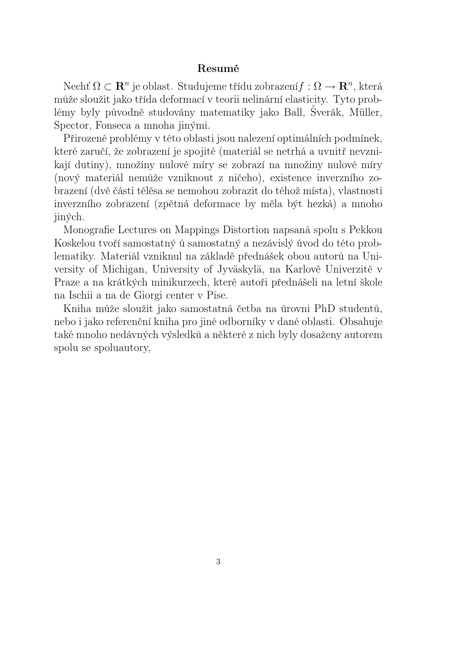#### Resumé

Nechť  $\Omega \subset \mathbf{R}^n$  je oblast. Studujeme třídu zobrazení $f: \Omega \to \mathbf{R}^n$ , která může sloužit jako třída deformací v teorii nelinární elasticity. Tyto problémy byly původně studovány matematiky jako Ball, Šverák, Müller, Spector, Fonseca a mnoha jinými.

Přirozené problémy v této oblasti jsou nalezení optimálních podmínek, které zaručí, že zobrazení je spojité (materiál se netrhá a uvnitř nevznikají dutiny), množiny nulové míry se zobrazí na množiny nulové míry (nový materiál nemůže vzniknout z ničeho), existence inverzního zobrazení (dvě části tělěsa se nemohou zobrazit do téhož místa), vlastnosti inverzního zobrazení (zpětná deformace by měla být hezká) a mnoho jiných.

Monografie Lectures on Mappings Distortion napsaná spolu s Pekkou Koskelou tvoří samostatný ú samostatný a nezávislý úvod do této problematiky. Materiál vzniknul na základě přednášek obou autorů na University of Michigan, University of Jyväskylä, na Karlově Univerzitě v Praze a na krátkých minikurzech, které autoři přednášeli na letní škole na Ischii a na de Giorgi center v Pise.

Kniha může sloužit jako samostatná četba na úrovni PhD studentů, nebo i jako referenční kniha pro jiné odborníky v dané oblasti. Obsahuje také mnoho nedávných výsledků a některé z nich byly dosaženy autorem spolu se spoluautory,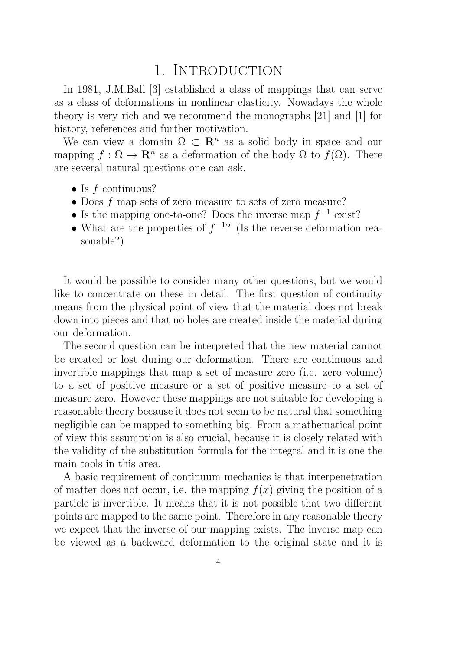## 1. INTRODUCTION

In 1981, J.M.Ball [3] established a class of mappings that can serve as a class of deformations in nonlinear elasticity. Nowadays the whole theory is very rich and we recommend the monographs [21] and [1] for history, references and further motivation.

We can view a domain  $\Omega \subset \mathbb{R}^n$  as a solid body in space and our mapping  $f : \Omega \to \mathbf{R}^n$  as a deformation of the body  $\Omega$  to  $f(\Omega)$ . There are several natural questions one can ask.

- Is  $f$  continuous?
- Does f map sets of zero measure to sets of zero measure?
- Is the mapping one-to-one? Does the inverse map  $f^{-1}$  exist?
- What are the properties of  $f^{-1}$ ? (Is the reverse deformation reasonable?)

It would be possible to consider many other questions, but we would like to concentrate on these in detail. The first question of continuity means from the physical point of view that the material does not break down into pieces and that no holes are created inside the material during our deformation.

The second question can be interpreted that the new material cannot be created or lost during our deformation. There are continuous and invertible mappings that map a set of measure zero (i.e. zero volume) to a set of positive measure or a set of positive measure to a set of measure zero. However these mappings are not suitable for developing a reasonable theory because it does not seem to be natural that something negligible can be mapped to something big. From a mathematical point of view this assumption is also crucial, because it is closely related with the validity of the substitution formula for the integral and it is one the main tools in this area.

A basic requirement of continuum mechanics is that interpenetration of matter does not occur, i.e. the mapping  $f(x)$  giving the position of a particle is invertible. It means that it is not possible that two different points are mapped to the same point. Therefore in any reasonable theory we expect that the inverse of our mapping exists. The inverse map can be viewed as a backward deformation to the original state and it is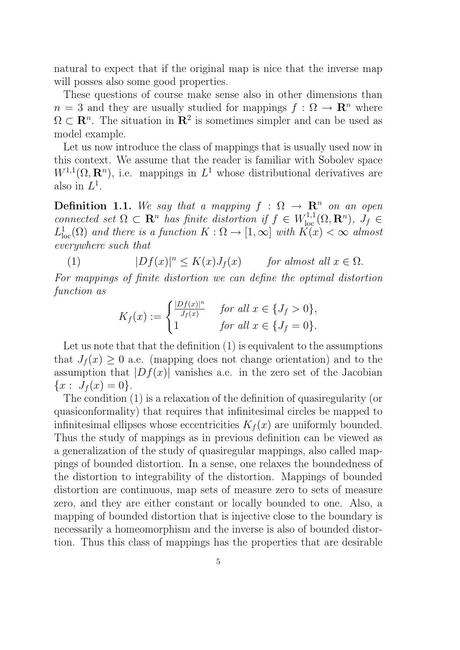natural to expect that if the original map is nice that the inverse map will posses also some good properties.

These questions of course make sense also in other dimensions than  $n = 3$  and they are usually studied for mappings  $f : \Omega \to \mathbb{R}^n$  where  $\Omega \subset \mathbb{R}^n$ . The situation in  $\mathbb{R}^2$  is sometimes simpler and can be used as model example.

Let us now introduce the class of mappings that is usually used now in this context. We assume that the reader is familiar with Sobolev space  $W^{1,1}(\Omega, \mathbf{R}^n)$ , i.e. mappings in  $L^1$  whose distributional derivatives are also in  $L^1$ .

**Definition 1.1.** We say that a mapping  $f : \Omega \rightarrow \mathbb{R}^n$  on an open connected set  $\Omega \subset \mathbf{R}^n$  has finite distortion if  $f \in W^{1,1}_{loc}(\Omega,\mathbf{R}^n)$ ,  $J_f \in$  $L^1_{\text{loc}}(\Omega)$  and there is a function  $K:\Omega \to [1,\infty]$  with  $\widetilde{K}(x) < \infty$  almost everywhere such that

(1)  $|Df(x)|^n \le K(x)J_f(x)$  for almost all  $x \in \Omega$ .

For mappings of finite distortion we can define the optimal distortion function as

$$
K_f(x) := \begin{cases} \frac{|Df(x)|^n}{J_f(x)} & \text{for all } x \in \{J_f > 0\}, \\ 1 & \text{for all } x \in \{J_f = 0\}. \end{cases}
$$

Let us note that that the definition  $(1)$  is equivalent to the assumptions that  $J_f(x) \geq 0$  a.e. (mapping does not change orientation) and to the assumption that  $|Df(x)|$  vanishes a.e. in the zero set of the Jacobian  ${x: J_f(x) = 0}.$ 

The condition (1) is a relaxation of the definition of quasiregularity (or quasiconformality) that requires that infinitesimal circles be mapped to infinitesimal ellipses whose eccentricities  $K_f(x)$  are uniformly bounded. Thus the study of mappings as in previous definition can be viewed as a generalization of the study of quasiregular mappings, also called mappings of bounded distortion. In a sense, one relaxes the boundedness of the distortion to integrability of the distortion. Mappings of bounded distortion are continuous, map sets of measure zero to sets of measure zero, and they are either constant or locally bounded to one. Also, a mapping of bounded distortion that is injective close to the boundary is necessarily a homeomorphism and the inverse is also of bounded distortion. Thus this class of mappings has the properties that are desirable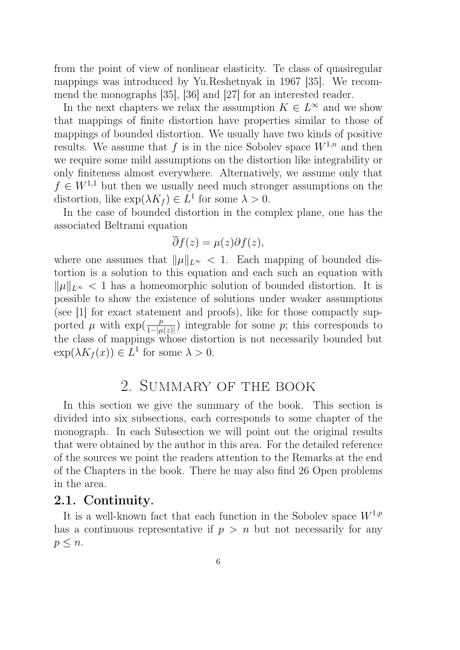from the point of view of nonlinear elasticity. Te class of quasiregular mappings was introduced by Yu.Reshetnyak in 1967 [35]. We recommend the monographs [35], [36] and [27] for an interested reader.

In the next chapters we relax the assumption  $K \in L^{\infty}$  and we show that mappings of finite distortion have properties similar to those of mappings of bounded distortion. We usually have two kinds of positive results. We assume that f is in the nice Sobolev space  $W^{1,n}$  and then we require some mild assumptions on the distortion like integrability or only finiteness almost everywhere. Alternatively, we assume only that  $f \in W^{1,1}$  but then we usually need much stronger assumptions on the distortion, like  $\exp(\lambda K_f) \in L^1$  for some  $\lambda > 0$ .

In the case of bounded distortion in the complex plane, one has the associated Beltrami equation

$$
\overline{\partial}f(z) = \mu(z)\partial f(z),
$$

where one assumes that  $\|\mu\|_{L^{\infty}} < 1$ . Each mapping of bounded distortion is a solution to this equation and each such an equation with  $\|\mu\|_{L^{\infty}} < 1$  has a homeomorphic solution of bounded distortion. It is possible to show the existence of solutions under weaker assumptions (see [1] for exact statement and proofs), like for those compactly supported  $\mu$  with  $\exp(\frac{p}{1-|\mu(z)|})$  integrable for some p; this corresponds to the class of mappings whose distortion is not necessarily bounded but  $\exp(\lambda K_f(x)) \in L^1$  for some  $\lambda > 0$ .

## 2. Summary of the book

In this section we give the summary of the book. This section is divided into six subsections, each corresponds to some chapter of the monograph. In each Subsection we will point out the original results that were obtained by the author in this area. For the detailed reference of the sources we point the readers attention to the Remarks at the end of the Chapters in the book. There he may also find 26 Open problems in the area.

#### 2.1. Continuity.

It is a well-known fact that each function in the Sobolev space  $W^{1,p}$ has a continuous representative if  $p > n$  but not necessarily for any  $p \leq n$ .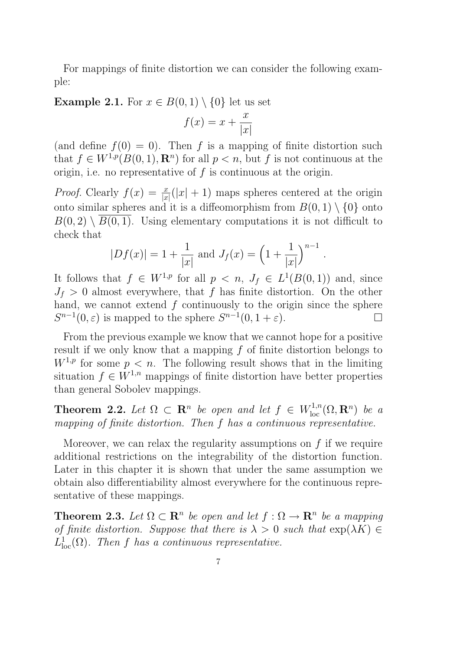For mappings of finite distortion we can consider the following example:

#### **Example 2.1.** For  $x \in B(0,1) \setminus \{0\}$  let us set

$$
f(x) = x + \frac{x}{|x|}
$$

(and define  $f(0) = 0$ ). Then f is a mapping of finite distortion such that  $f \in W^{1,p}(B(0,1), \mathbf{R}^n)$  for all  $p < n$ , but f is not continuous at the origin, i.e. no representative of  $f$  is continuous at the origin.

*Proof.* Clearly  $f(x) = \frac{x}{|x|}(|x| + 1)$  maps spheres centered at the origin onto similar spheres and it is a diffeomorphism from  $B(0, 1) \setminus \{0\}$  onto  $B(0, 2) \setminus B(0, 1)$ . Using elementary computations it is not difficult to check that

$$
|Df(x)| = 1 + \frac{1}{|x|}
$$
 and  $J_f(x) = \left(1 + \frac{1}{|x|}\right)^{n-1}$ 

.

It follows that  $f \in W^{1,p}$  for all  $p \leq n$ ,  $J_f \in L^1(B(0,1))$  and, since  $J_f > 0$  almost everywhere, that f has finite distortion. On the other hand, we cannot extend  $f$  continuously to the origin since the sphere  $S^{n-1}(0,\varepsilon)$  is mapped to the sphere  $S^{n-1}(0,1+\varepsilon)$ .

From the previous example we know that we cannot hope for a positive result if we only know that a mapping f of finite distortion belongs to  $W^{1,p}$  for some  $p < n$ . The following result shows that in the limiting situation  $f \in W^{1,n}$  mappings of finite distortion have better properties than general Sobolev mappings.

**Theorem 2.2.** Let  $\Omega \subset \mathbb{R}^n$  be open and let  $f \in W^{1,n}_{loc}(\Omega,\mathbb{R}^n)$  be a mapping of finite distortion. Then f has a continuous representative.

Moreover, we can relax the regularity assumptions on  $f$  if we require additional restrictions on the integrability of the distortion function. Later in this chapter it is shown that under the same assumption we obtain also differentiability almost everywhere for the continuous representative of these mappings.

**Theorem 2.3.** Let  $\Omega \subset \mathbb{R}^n$  be open and let  $f : \Omega \to \mathbb{R}^n$  be a mapping of finite distortion. Suppose that there is  $\lambda > 0$  such that  $\exp(\lambda K) \in$  $L^1_{\text{loc}}(\Omega)$ . Then f has a continuous representative.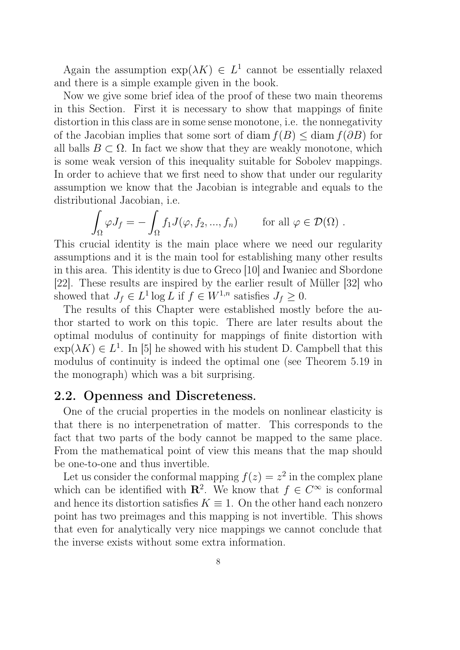Again the assumption  $\exp(\lambda K) \in L^1$  cannot be essentially relaxed and there is a simple example given in the book.

Now we give some brief idea of the proof of these two main theorems in this Section. First it is necessary to show that mappings of finite distortion in this class are in some sense monotone, i.e. the nonnegativity of the Jacobian implies that some sort of diam  $f(B) \leq \text{diam } f(\partial B)$  for all balls  $B \subset \Omega$ . In fact we show that they are weakly monotone, which is some weak version of this inequality suitable for Sobolev mappings. In order to achieve that we first need to show that under our regularity assumption we know that the Jacobian is integrable and equals to the distributional Jacobian, i.e.

$$
\int_{\Omega} \varphi J_f = -\int_{\Omega} f_1 J(\varphi, f_2, ..., f_n) \quad \text{for all } \varphi \in \mathcal{D}(\Omega) .
$$

This crucial identity is the main place where we need our regularity assumptions and it is the main tool for establishing many other results in this area. This identity is due to Greco [10] and Iwaniec and Sbordone [22]. These results are inspired by the earlier result of Müller [32] who showed that  $J_f \in L^1 \log L$  if  $f \in W^{1,n}$  satisfies  $J_f \geq 0$ .

The results of this Chapter were established mostly before the author started to work on this topic. There are later results about the optimal modulus of continuity for mappings of finite distortion with  $\exp(\lambda K) \in L^1$ . In [5] he showed with his student D. Campbell that this modulus of continuity is indeed the optimal one (see Theorem 5.19 in the monograph) which was a bit surprising.

### 2.2. Openness and Discreteness.

One of the crucial properties in the models on nonlinear elasticity is that there is no interpenetration of matter. This corresponds to the fact that two parts of the body cannot be mapped to the same place. From the mathematical point of view this means that the map should be one-to-one and thus invertible.

Let us consider the conformal mapping  $f(z) = z^2$  in the complex plane which can be identified with  $\mathbb{R}^2$ . We know that  $f \in C^{\infty}$  is conformal and hence its distortion satisfies  $K \equiv 1$ . On the other hand each nonzero point has two preimages and this mapping is not invertible. This shows that even for analytically very nice mappings we cannot conclude that the inverse exists without some extra information.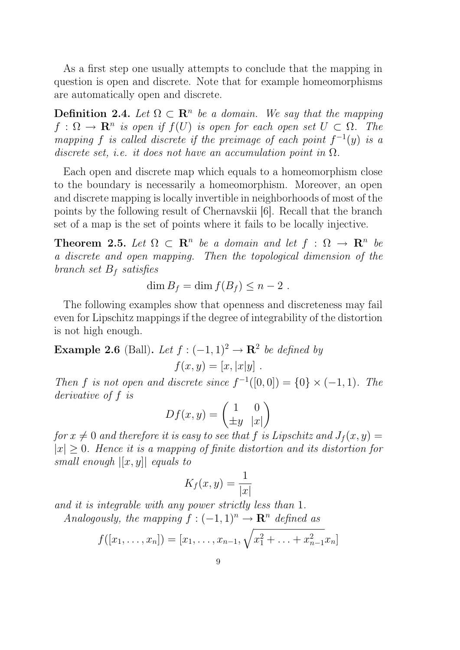As a first step one usually attempts to conclude that the mapping in question is open and discrete. Note that for example homeomorphisms are automatically open and discrete.

**Definition 2.4.** Let  $\Omega \subset \mathbb{R}^n$  be a domain. We say that the mapping  $f: \Omega \to \mathbf{R}^n$  is open if  $f(U)$  is open for each open set  $U \subset \Omega$ . The mapping f is called discrete if the preimage of each point  $f^{-1}(y)$  is a discrete set, i.e. it does not have an accumulation point in  $\Omega$ .

Each open and discrete map which equals to a homeomorphism close to the boundary is necessarily a homeomorphism. Moreover, an open and discrete mapping is locally invertible in neighborhoods of most of the points by the following result of Chernavskii [6]. Recall that the branch set of a map is the set of points where it fails to be locally injective.

**Theorem 2.5.** Let  $\Omega \subset \mathbb{R}^n$  be a domain and let  $f : \Omega \to \mathbb{R}^n$  be a discrete and open mapping. Then the topological dimension of the branch set  $B_f$  satisfies

$$
\dim B_f = \dim f(B_f) \leq n-2.
$$

The following examples show that openness and discreteness may fail even for Lipschitz mappings if the degree of integrability of the distortion is not high enough.

**Example 2.6** (Ball). Let  $f: (-1,1)^2 \rightarrow \mathbb{R}^2$  be defined by

$$
f(x,y) = [x, |x|y].
$$

Then f is not open and discrete since  $f^{-1}([0,0]) = \{0\} \times (-1,1)$ . The derivative of f is

$$
Df(x,y) = \begin{pmatrix} 1 & 0 \\ \pm y & |x| \end{pmatrix}
$$

for  $x \neq 0$  and therefore it is easy to see that f is Lipschitz and  $J_f (x, y) =$  $|x| \geq 0$ . Hence it is a mapping of finite distortion and its distortion for small enough  $|[x, y]|$  equals to

$$
K_f(x,y) = \frac{1}{|x|}
$$

and it is integrable with any power strictly less than 1. Analogously, the mapping  $f: (-1, 1)^n \rightarrow \mathbb{R}^n$  defined as

$$
f([x_1,\ldots,x_n]) = [x_1,\ldots,x_{n-1},\sqrt{x_1^2+\ldots+x_{n-1}^2}x_n]
$$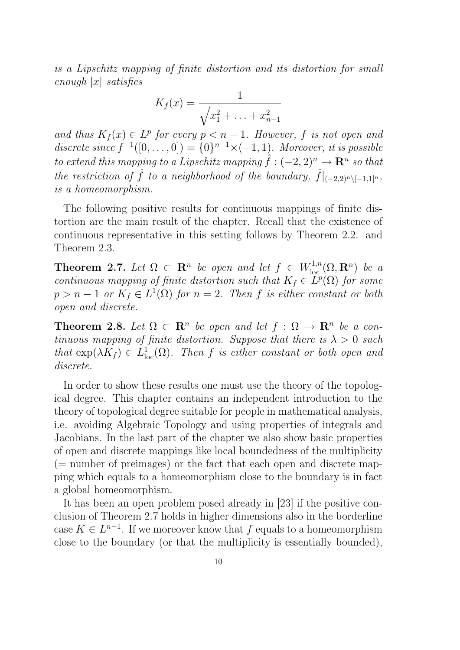is a Lipschitz mapping of finite distortion and its distortion for small enough  $|x|$  satisfies

$$
K_f(x) = \frac{1}{\sqrt{x_1^2 + \ldots + x_{n-1}^2}}
$$

and thus  $K_f(x) \in L^p$  for every  $p < n - 1$ . However, f is not open and discrete since  $f^{-1}([0,\ldots,0]) = \{0\}^{n-1} \times (-1,1)$ . Moreover, it is possible to extend this mapping to a Lipschitz mapping  $\hat{f}: (-2,2)^n \to \mathbb{R}^n$  so that the restriction of  $\hat{f}$  to a neighborhood of the boundary,  $\hat{f}|_{(-2,2)^n\setminus[-1,1]^n}$ , is a homeomorphism.

The following positive results for continuous mappings of finite distortion are the main result of the chapter. Recall that the existence of continuous representative in this setting follows by Theorem 2.2. and Theorem 2.3.

**Theorem 2.7.** Let  $\Omega \subset \mathbb{R}^n$  be open and let  $f \in W^{1,n}_{loc}(\Omega,\mathbb{R}^n)$  be a continuous mapping of finite distortion such that  $K_f \in L^p(\Omega)$  for some  $p > n - 1$  or  $K_f \in L^1(\Omega)$  for  $n = 2$ . Then f is either constant or both open and discrete.

**Theorem 2.8.** Let  $\Omega \subset \mathbb{R}^n$  be open and let  $f : \Omega \to \mathbb{R}^n$  be a continuous mapping of finite distortion. Suppose that there is  $\lambda > 0$  such that  $\exp(\lambda K_f) \in L^1_{loc}(\Omega)$ . Then f is either constant or both open and discrete.

In order to show these results one must use the theory of the topological degree. This chapter contains an independent introduction to the theory of topological degree suitable for people in mathematical analysis, i.e. avoiding Algebraic Topology and using properties of integrals and Jacobians. In the last part of the chapter we also show basic properties of open and discrete mappings like local boundedness of the multiplicity  $($  = number of preimages) or the fact that each open and discrete mapping which equals to a homeomorphism close to the boundary is in fact a global homeomorphism.

It has been an open problem posed already in [23] if the positive conclusion of Theorem 2.7 holds in higher dimensions also in the borderline case  $K \in L^{n-1}$ . If we moreover know that f equals to a homeomorphism close to the boundary (or that the multiplicity is essentially bounded),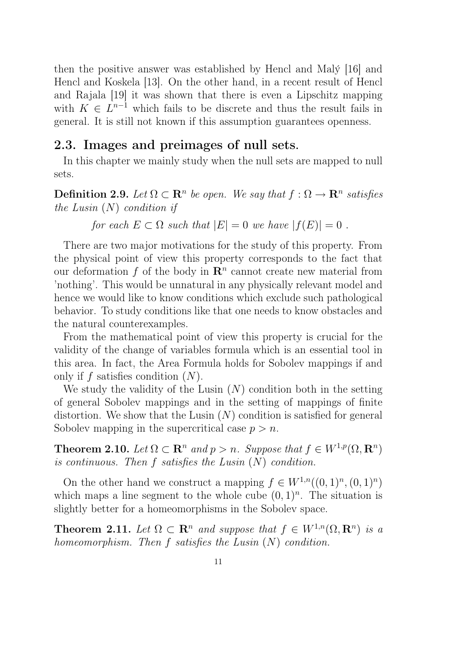then the positive answer was established by Hencl and Malý [16] and Hencl and Koskela [13]. On the other hand, in a recent result of Hencl and Rajala [19] it was shown that there is even a Lipschitz mapping with  $K \in L^{n-1}$  which fails to be discrete and thus the result fails in general. It is still not known if this assumption guarantees openness.

#### 2.3. Images and preimages of null sets.

In this chapter we mainly study when the null sets are mapped to null sets.

**Definition 2.9.** Let  $\Omega \subset \mathbb{R}^n$  be open. We say that  $f : \Omega \to \mathbb{R}^n$  satisfies the Lusin  $(N)$  condition if

for each  $E \subset \Omega$  such that  $|E| = 0$  we have  $|f(E)| = 0$ .

There are two major motivations for the study of this property. From the physical point of view this property corresponds to the fact that our deformation f of the body in  $\mathbb{R}^n$  cannot create new material from 'nothing'. This would be unnatural in any physically relevant model and hence we would like to know conditions which exclude such pathological behavior. To study conditions like that one needs to know obstacles and the natural counterexamples.

From the mathematical point of view this property is crucial for the validity of the change of variables formula which is an essential tool in this area. In fact, the Area Formula holds for Sobolev mappings if and only if f satisfies condition  $(N)$ .

We study the validity of the Lusin  $(N)$  condition both in the setting of general Sobolev mappings and in the setting of mappings of finite distortion. We show that the Lusin  $(N)$  condition is satisfied for general Sobolev mapping in the supercritical case  $p > n$ .

**Theorem 2.10.** Let  $\Omega \subset \mathbb{R}^n$  and  $p > n$ . Suppose that  $f \in W^{1,p}(\Omega, \mathbb{R}^n)$ is continuous. Then  $f$  satisfies the Lusin  $(N)$  condition.

On the other hand we construct a mapping  $f \in W^{1,n}((0,1)^n, (0,1)^n)$ which maps a line segment to the whole cube  $(0,1)^n$ . The situation is slightly better for a homeomorphisms in the Sobolev space.

**Theorem 2.11.** Let  $\Omega \subset \mathbb{R}^n$  and suppose that  $f \in W^{1,n}(\Omega, \mathbb{R}^n)$  is a homeomorphism. Then  $f$  satisfies the Lusin  $(N)$  condition.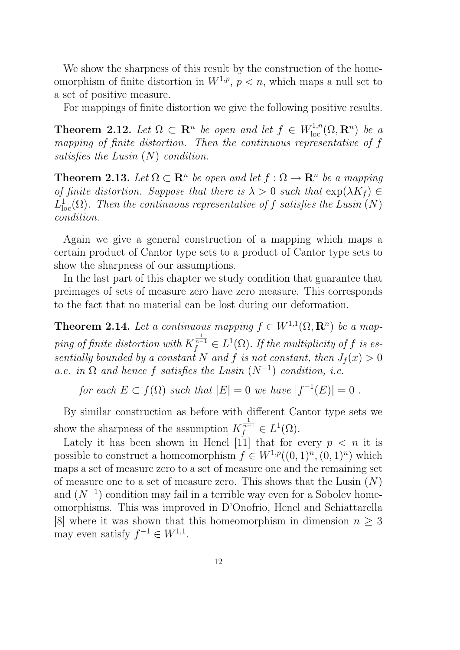We show the sharpness of this result by the construction of the homeomorphism of finite distortion in  $W^{1,p}$ ,  $p < n$ , which maps a null set to a set of positive measure.

For mappings of finite distortion we give the following positive results.

**Theorem 2.12.** Let  $\Omega \subset \mathbb{R}^n$  be open and let  $f \in W^{1,n}_{loc}(\Omega,\mathbb{R}^n)$  be a mapping of finite distortion. Then the continuous representative of f satisfies the Lusin (N) condition.

**Theorem 2.13.** Let  $\Omega \subset \mathbb{R}^n$  be open and let  $f : \Omega \to \mathbb{R}^n$  be a mapping of finite distortion. Suppose that there is  $\lambda > 0$  such that  $\exp(\lambda K_f) \in$  $L^1_{\text{loc}}(\Omega)$ . Then the continuous representative of f satisfies the Lusin  $(N)$ condition.

Again we give a general construction of a mapping which maps a certain product of Cantor type sets to a product of Cantor type sets to show the sharpness of our assumptions.

In the last part of this chapter we study condition that guarantee that preimages of sets of measure zero have zero measure. This corresponds to the fact that no material can be lost during our deformation.

**Theorem 2.14.** Let a continuous mapping  $f \in W^{1,1}(\Omega, \mathbb{R}^n)$  be a mapping of finite distortion with  $K_f^{\frac{1}{n-1}} \in L^1(\Omega)$ . If the multiplicity of f is essentially bounded by a constant N and f is not constant, then  $J_f(x) > 0$ a.e. in  $\Omega$  and hence f satisfies the Lusin  $(N^{-1})$  condition, i.e.

for each  $E \subset f(\Omega)$  such that  $|E| = 0$  we have  $|f^{-1}(E)| = 0$ .

By similar construction as before with different Cantor type sets we show the sharpness of the assumption  $K_f^{\frac{1}{n-1}} \in L^1(\Omega)$ .

Lately it has been shown in Hencl [11] that for every  $p \leq n$  it is possible to construct a homeomorphism  $f \in W^{1,p}((0,1)^n, (0,1)^n)$  which maps a set of measure zero to a set of measure one and the remaining set of measure one to a set of measure zero. This shows that the Lusin  $(N)$ and  $(N^{-1})$  condition may fail in a terrible way even for a Sobolev homeomorphisms. This was improved in D'Onofrio, Hencl and Schiattarella [8] where it was shown that this homeomorphism in dimension  $n \geq 3$ may even satisfy  $f^{-1} \in W^{1,1}$ .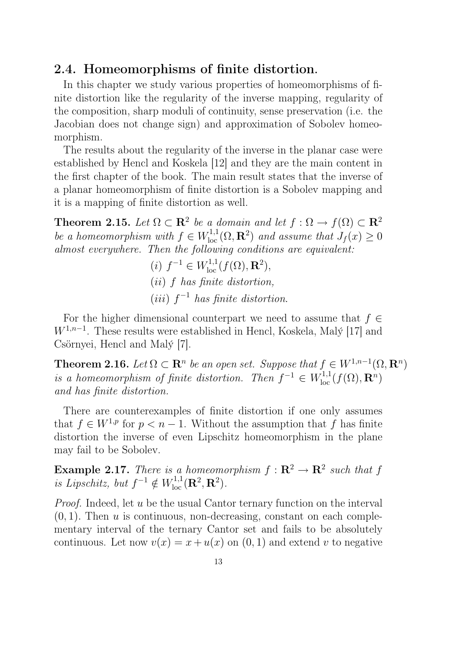### 2.4. Homeomorphisms of finite distortion.

In this chapter we study various properties of homeomorphisms of finite distortion like the regularity of the inverse mapping, regularity of the composition, sharp moduli of continuity, sense preservation (i.e. the Jacobian does not change sign) and approximation of Sobolev homeomorphism.

The results about the regularity of the inverse in the planar case were established by Hencl and Koskela [12] and they are the main content in the first chapter of the book. The main result states that the inverse of a planar homeomorphism of finite distortion is a Sobolev mapping and it is a mapping of finite distortion as well.

**Theorem 2.15.** Let  $\Omega \subset \mathbb{R}^2$  be a domain and let  $f : \Omega \to f(\Omega) \subset \mathbb{R}^2$ be a homeomorphism with  $f \in W^{1,1}_{loc}(\Omega, \mathbf{R}^2)$  and assume that  $J_f(x) \geq 0$ almost everywhere. Then the following conditions are equivalent:

(i) 
$$
f^{-1} \in W^{1,1}_{loc}(f(\Omega), \mathbf{R}^2)
$$
,  
(ii) f has finite distortion,  
(iii)  $f^{-1}$  has finite distortion.

For the higher dimensional counterpart we need to assume that  $f \in$  $W^{1,n-1}$ . These results were established in Hencl, Koskela, Malý [17] and Csörnyei, Hencl and Malý [7].

**Theorem 2.16.** Let  $\Omega \subset \mathbb{R}^n$  be an open set. Suppose that  $f \in W^{1,n-1}(\Omega, \mathbb{R}^n)$ is a homeomorphism of finite distortion. Then  $f^{-1} \in W^{1,1}_{loc}(f(\Omega), \mathbf{R}^n)$ and has finite distortion.

There are counterexamples of finite distortion if one only assumes that  $f \in W^{1,p}$  for  $p < n-1$ . Without the assumption that f has finite distortion the inverse of even Lipschitz homeomorphism in the plane may fail to be Sobolev.

**Example 2.17.** There is a homeomorphism  $f: \mathbb{R}^2 \to \mathbb{R}^2$  such that f is Lipschitz, but  $f^{-1} \notin W^{1,1}_{loc}(\mathbf{R}^2, \mathbf{R}^2)$ .

Proof. Indeed, let u be the usual Cantor ternary function on the interval  $(0, 1)$ . Then u is continuous, non-decreasing, constant on each complementary interval of the ternary Cantor set and fails to be absolutely continuous. Let now  $v(x) = x + u(x)$  on  $(0, 1)$  and extend v to negative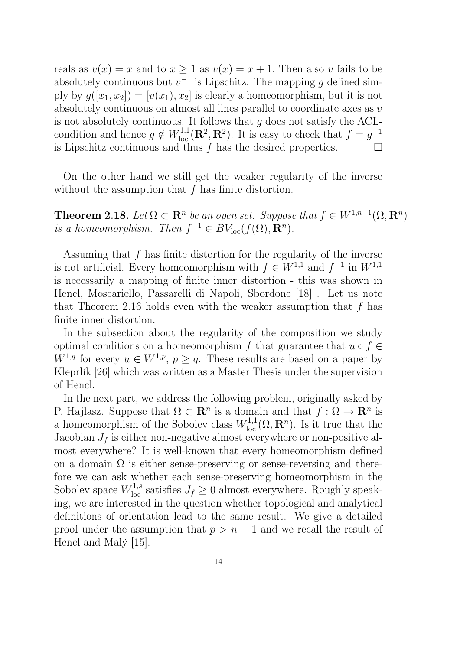reals as  $v(x) = x$  and to  $x \ge 1$  as  $v(x) = x + 1$ . Then also v fails to be absolutely continuous but  $v^{-1}$  is Lipschitz. The mapping g defined simply by  $g([x_1, x_2]) = [v(x_1), x_2]$  is clearly a homeomorphism, but it is not absolutely continuous on almost all lines parallel to coordinate axes as v is not absolutely continuous. It follows that  $g$  does not satisfy the ACLcondition and hence  $g \notin W^{1,1}_{loc}(\mathbf{R}^2, \mathbf{R}^2)$ . It is easy to check that  $f = g^{-1}$ is Lipschitz continuous and thus  $f$  has the desired properties.

On the other hand we still get the weaker regularity of the inverse without the assumption that  $f$  has finite distortion.

**Theorem 2.18.** Let  $\Omega \subset \mathbb{R}^n$  be an open set. Suppose that  $f \in W^{1,n-1}(\Omega, \mathbb{R}^n)$ is a homeomorphism. Then  $f^{-1} \in BV_{loc}(f(\Omega), \mathbf{R}^n)$ .

Assuming that  $f$  has finite distortion for the regularity of the inverse is not artificial. Every homeomorphism with  $f \in W^{1,1}$  and  $f^{-1}$  in  $W^{1,1}$ is necessarily a mapping of finite inner distortion - this was shown in Hencl, Moscariello, Passarelli di Napoli, Sbordone [18] . Let us note that Theorem 2.16 holds even with the weaker assumption that  $f$  has finite inner distortion.

In the subsection about the regularity of the composition we study optimal conditions on a homeomorphism f that guarantee that  $u \circ f \in$  $W^{1,q}$  for every  $u \in W^{1,p}, p \ge q$ . These results are based on a paper by Kleprlík [26] which was written as a Master Thesis under the supervision of Hencl.

In the next part, we address the following problem, originally asked by P. Hajlasz. Suppose that  $\Omega \subset \mathbb{R}^n$  is a domain and that  $f : \Omega \to \mathbb{R}^n$  is a homeomorphism of the Sobolev class  $W^{1,1}_{loc}(\Omega,\mathbf{R}^n)$ . Is it true that the Jacobian  $J_f$  is either non-negative almost everywhere or non-positive almost everywhere? It is well-known that every homeomorphism defined on a domain  $\Omega$  is either sense-preserving or sense-reversing and therefore we can ask whether each sense-preserving homeomorphism in the Sobolev space  $W^{1,s}_{loc}$  satisfies  $J_f \geq 0$  almost everywhere. Roughly speaking, we are interested in the question whether topological and analytical definitions of orientation lead to the same result. We give a detailed proof under the assumption that  $p > n - 1$  and we recall the result of Hencl and Malý [15].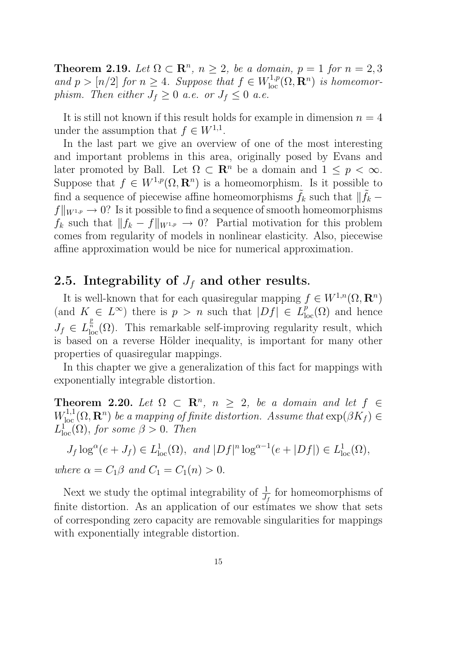**Theorem 2.19.** Let  $\Omega \subset \mathbb{R}^n$ ,  $n \geq 2$ , be a domain,  $p = 1$  for  $n = 2, 3$ and  $p > [n/2]$  for  $n \geq 4$ . Suppose that  $f \in W^{1,p}_{loc}(\Omega, \mathbf{R}^n)$  is homeomorphism. Then either  $J_f \geq 0$  a.e. or  $J_f \leq 0$  a.e.

It is still not known if this result holds for example in dimension  $n = 4$ under the assumption that  $f \in W^{1,1}$ .

In the last part we give an overview of one of the most interesting and important problems in this area, originally posed by Evans and later promoted by Ball. Let  $\Omega \subset \mathbb{R}^n$  be a domain and  $1 \leq p < \infty$ . Suppose that  $f \in W^{1,p}(\Omega, \mathbf{R}^n)$  is a homeomorphism. Is it possible to find a sequence of piecewise affine homeomorphisms  $\tilde{f}_k$  such that  $\|\tilde{f}_k$  $f\|_{W^{1,p}} \to 0$ ? Is it possible to find a sequence of smooth homeomorphisms  $f_k$  such that  $||f_k - f||_{W^{1,p}} \to 0$ ? Partial motivation for this problem comes from regularity of models in nonlinear elasticity. Also, piecewise affine approximation would be nice for numerical approximation.

## 2.5. Integrability of  $J_f$  and other results.

It is well-known that for each quasiregular mapping  $f \in W^{1,n}(\Omega, \mathbf{R}^n)$ (and  $K \in L^{\infty}$ ) there is  $p > n$  such that  $|Df| \in L_{loc}^{p}(\Omega)$  and hence  $J_f \in L^{\frac{p}{n}}_{\text{loc}}(\Omega)$ . This remarkable self-improving regularity result, which is based on a reverse Hölder inequality, is important for many other properties of quasiregular mappings.

In this chapter we give a generalization of this fact for mappings with exponentially integrable distortion.

Theorem 2.20. Let  $\Omega \subset \mathbb{R}^n$ ,  $n \geq 2$ , be a domain and let  $f \in$  $W^{1,1}_{loc}(\Omega,\mathbf{R}^n)$  be a mapping of finite distortion. Assume that  $\exp(\beta K_f) \in$  $L^1_{\text{loc}}(\Omega)$ , for some  $\beta > 0$ . Then

$$
J_f \log^{\alpha}(e + J_f) \in L^1_{loc}(\Omega), \text{ and } |Df|^n \log^{\alpha - 1}(e + |Df|) \in L^1_{loc}(\Omega),
$$
  
where  $\alpha = C_1\beta$  and  $C_1 = C_1(n) > 0$ .

Next we study the optimal integrability of  $\frac{1}{J_f}$  for homeomorphisms of finite distortion. As an application of our estimates we show that sets of corresponding zero capacity are removable singularities for mappings with exponentially integrable distortion.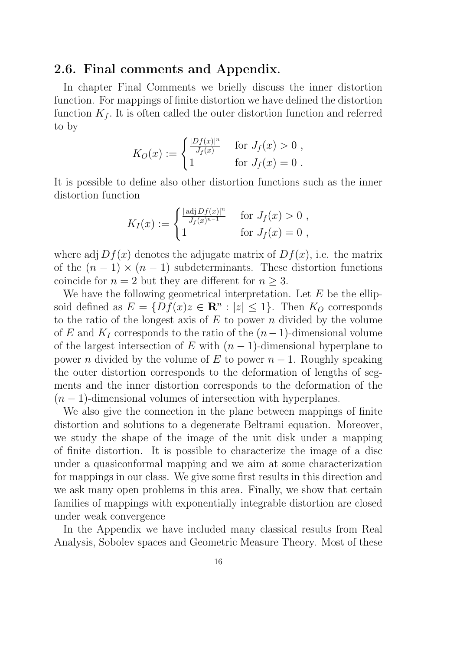#### 2.6. Final comments and Appendix.

In chapter Final Comments we briefly discuss the inner distortion function. For mappings of finite distortion we have defined the distortion function  $K_f$ . It is often called the outer distortion function and referred to by

$$
K_O(x) := \begin{cases} \frac{|Df(x)|^n}{J_f(x)} & \text{for } J_f(x) > 0, \\ 1 & \text{for } J_f(x) = 0. \end{cases}
$$

It is possible to define also other distortion functions such as the inner distortion function

$$
K_I(x) := \begin{cases} \frac{|\operatorname{adj} Df(x)|^n}{J_f(x)^{n-1}} & \text{for } J_f(x) > 0, \\ 1 & \text{for } J_f(x) = 0, \end{cases}
$$

where adj  $Df(x)$  denotes the adjugate matrix of  $Df(x)$ , i.e. the matrix of the  $(n-1) \times (n-1)$  subdeterminants. These distortion functions coincide for  $n = 2$  but they are different for  $n \geq 3$ .

We have the following geometrical interpretation. Let  $E$  be the ellipsoid defined as  $E = \{Df(x)z \in \mathbb{R}^n : |z| \leq 1\}$ . Then  $K_O$  corresponds to the ratio of the longest axis of  $E$  to power n divided by the volume of E and  $K_I$  corresponds to the ratio of the  $(n-1)$ -dimensional volume of the largest intersection of E with  $(n-1)$ -dimensional hyperplane to power *n* divided by the volume of E to power  $n-1$ . Roughly speaking the outer distortion corresponds to the deformation of lengths of segments and the inner distortion corresponds to the deformation of the  $(n-1)$ -dimensional volumes of intersection with hyperplanes.

We also give the connection in the plane between mappings of finite distortion and solutions to a degenerate Beltrami equation. Moreover, we study the shape of the image of the unit disk under a mapping of finite distortion. It is possible to characterize the image of a disc under a quasiconformal mapping and we aim at some characterization for mappings in our class. We give some first results in this direction and we ask many open problems in this area. Finally, we show that certain families of mappings with exponentially integrable distortion are closed under weak convergence

In the Appendix we have included many classical results from Real Analysis, Sobolev spaces and Geometric Measure Theory. Most of these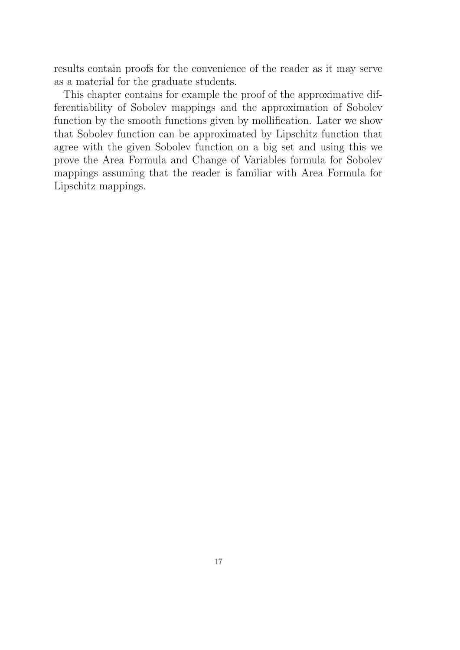results contain proofs for the convenience of the reader as it may serve as a material for the graduate students.

This chapter contains for example the proof of the approximative differentiability of Sobolev mappings and the approximation of Sobolev function by the smooth functions given by mollification. Later we show that Sobolev function can be approximated by Lipschitz function that agree with the given Sobolev function on a big set and using this we prove the Area Formula and Change of Variables formula for Sobolev mappings assuming that the reader is familiar with Area Formula for Lipschitz mappings.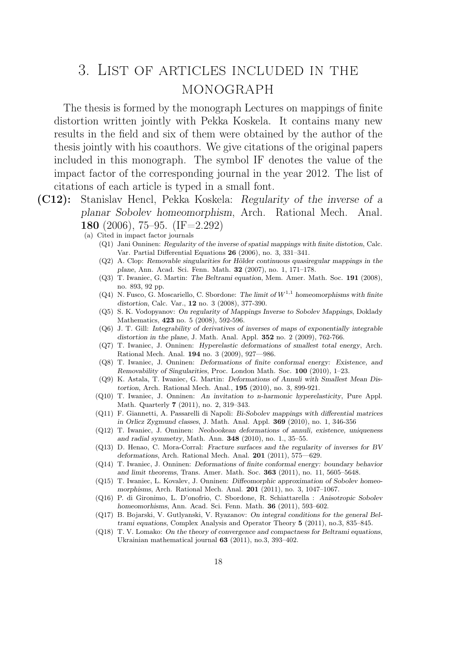## 3. List of articles included in the monograph

The thesis is formed by the monograph Lectures on mappings of finite distortion written jointly with Pekka Koskela. It contains many new results in the field and six of them were obtained by the author of the thesis jointly with his coauthors. We give citations of the original papers included in this monograph. The symbol IF denotes the value of the impact factor of the corresponding journal in the year 2012. The list of citations of each article is typed in a small font.

- (C12): Stanislav Hencl, Pekka Koskela: Regularity of the inverse of a planar Sobolev homeomorphism, Arch. Rational Mech. Anal. 180 (2006), 75–95. (IF=2.292)
	- (a) Cited in impact factor journals
		- (Q1) Jani Onninen: Regularity of the inverse of spatial mappings with finite distotion, Calc. Var. Partial Differential Equations 26 (2006), no. 3, 331–341.
		- (Q2) A. Clop: Removable singularities for Hölder continuous quasiregular mappings in the plane, Ann. Acad. Sci. Fenn. Math. 32 (2007), no. 1, 171–178.
		- (Q3) T. Iwaniec, G. Martin: The Beltrami equation, Mem. Amer. Math. Soc. 191 (2008), no. 893, 92 pp.
		- $(0,4)$  N. Fusco, G. Moscariello, C. Sbordone: The limit of  $W^{1,1}$  homeomorphisms with finite distortion, Calc. Var., 12 no. 3 (2008), 377-390.
		- (Q5) S. K. Vodopyanov: On regularity of Mappings Inverse to Sobolev Mappings, Doklady Mathematics, 423 no. 5 (2008), 592-596.
		- (Q6) J. T. Gill: Integrability of derivatives of inverses of maps of exponentially integrable distortion in the plane, J. Math. Anal. Appl. 352 no. 2 (2009), 762-766.
		- (Q7) T. Iwaniec, J. Onninen: Hyperelastic deformations of smallest total energy, Arch. Rational Mech. Anal. 194 no. 3 (2009), 927—986.
		- (Q8) T. Iwaniec, J. Onninen: Deformations of finite conformal energy: Existence, and Removability of Singularities, Proc. London Math. Soc. 100 (2010), 1–23.
		- (Q9) K. Astala, T. Iwaniec, G. Martin: Deformations of Annuli with Smallest Mean Distortion, Arch. Rational Mech. Anal., 195 (2010), no. 3, 899-921.
		- (Q10) T. Iwaniec, J. Onninen: An invitation to n-harmonic hyperelasticity, Pure Appl. Math. Quarterly 7 (2011), no. 2, 319–343.
		- (Q11) F. Giannetti, A. Passarelli di Napoli: Bi-Sobolev mappings with differential matrices in Orlicz Zygmund classes, J. Math. Anal. Appl. 369 (2010), no. 1, 346-356
		- (Q12) T. Iwaniec, J. Onninen: Neohookean deformations of annuli, existence, uniqueness and radial symmetry, Math. Ann. 348 (2010), no. 1., 35–55.
		- (Q13) D. Henao, C. Mora-Corral: Fracture surfaces and the regularity of inverses for BV deformations, Arch. Rational Mech. Anal. 201 (2011), 575—629.
		- (Q14) T. Iwaniec, J. Onninen: Deformations of finite conformal energy: boundary behavior and limit theorems, Trans. Amer. Math. Soc. 363 (2011), no. 11, 5605–5648.
		- (Q15) T. Iwaniec, L. Kovalev, J. Onninen: Diffeomorphic approximation of Sobolev homeomorphisms, Arch. Rational Mech. Anal. 201 (2011), no. 3, 1047–1067.
		- (Q16) P. di Gironimo, L. D'onofrio, C. Sbordone, R. Schiattarella : Anisotropic Sobolev homeomorhisms, Ann. Acad. Sci. Fenn. Math. 36 (2011), 593–602.
		- (Q17) B. Bojarski, V. Gutlyanski, V. Ryazanov: On integral conditions for the general Beltrami equations, Complex Analysis and Operator Theory 5 (2011), no.3, 835–845.
		- (Q18) T. V. Lomako: On the theory of convergence and compactness for Beltrami equations, Ukrainian mathematical journal 63 (2011), no.3, 393–402.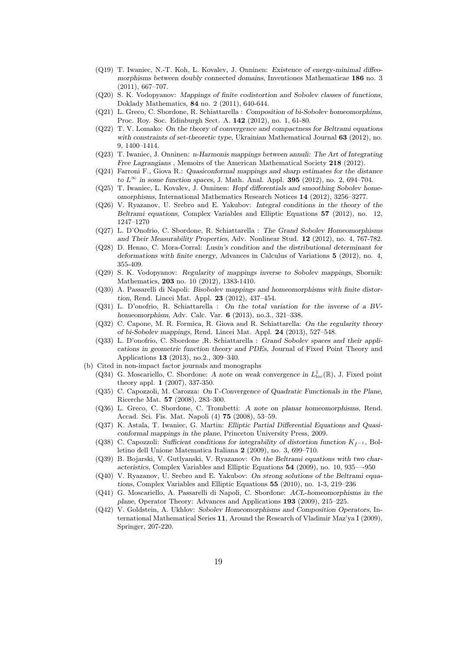- (Q19) T. Iwaniec, N.-T. Koh, L. Kovalev, J. Onninen: Existence of energy-minimal diffeomorphisms between doubly connected domains, Inventiones Mathematicae 186 no. 3 (2011), 667–707.
- (Q20) S. K. Vodopyanov: Mappings of finite codistortion and Sobolev classes of functions, Doklady Mathematics, 84 no. 2 (2011), 640-644.
- (Q21) L. Greco, C. Sbordone, R. Schiattarella : Composition of bi-Sobolev homeomorphims, Proc. Roy. Soc. Edinburgh Sect. A. 142 (2012), no. 1, 61-80.
- (Q22) T. V. Lomako: On the theory of convergence and compactness for Beltrami equations with constraints of set-theoretic type, Ukrainian Mathematical Journal 63 (2012), no. 9, 1400–1414.
- (Q23) T. Iwaniec, J. Onninen: n-Harmonis mappings between annuli: The Art of Integrating Free Lagrangians, Memoirs of the American Mathematical Society 218 (2012).
- (Q24) Farroni F., Giova R.: Quasiconformal mappings and sharp estimates for the distance to  $L^{\infty}$  in some function spaces, J. Math. Anal. Appl. 395 (2012), no. 2, 694-704.
- (Q25) T. Iwaniec, L. Kovalev, J. Onninen: Hopf differentials and smoothing Sobolev homeomorphisms, International Mathematics Research Notices 14 (2012), 3256–3277.
- (Q26) V. Ryazanov, U. Srebro and E. Yakubov: Integral conditions in the theory of the Beltrami equations, Complex Variables and Elliptic Equations 57 (2012), no. 12, 1247–1270
- (Q27) L. D'Onofrio, C. Sbordone, R. Schiattarella : The Grand Sobolev Homeomorphisms and Their Measurability Properties, Adv. Nonlinear Stud. 12 (2012), no. 4, 767-782.
- (Q28) D. Henao, C. Mora-Corral: Lusin's condition and the distributional determinant for deformations with finite energy, Advances in Calculus of Variations 5 (2012), no. 4, 355-409.
- (Q29) S. K. Vodopyanov: Regularity of mappings inverse to Sobolev mappings, Sbornik: Mathematics, 203 no. 10 (2012), 1383-1410.
- (Q30) A. Passarelli di Napoli: Bisobolev mappings and homeomorphisms with finite distortion, Rend. Lincei Mat. Appl. 23 (2012), 437–454.
- (Q31) L. D'onofrio, R. Schiattarella : On the total variation for the inverse of a BVhomeomorphism, Adv. Calc. Var. 6 (2013), no.3., 321–338.
- (Q32) C. Capone, M. R. Formica, R. Giova and R. Schiattarella: On the regularity theory of bi-Sobolev mappings, Rend. Lincei Mat. Appl. 24 (2013), 527–548.
- (Q33) L. D'onofrio, C. Sbordone ,R. Schiattarella : Grand Sobolev spaces and their applications in geometric function theory and PDEs, Journal of Fixed Point Theory and Applications 13 (2013), no.2., 309–340.
- (b) Cited in non-impact factor journals and monographs
	- (Q34) G. Moscariello, C. Sbordone: A note on weak convergence in  $L^1_{loc}(\mathbb{R})$ , J. Fixed point theory appl. 1 (2007), 337-350.
	- (Q35) C. Capozzoli, M. Carozza: On Γ-Convergence of Quadratic Functionals in the Plane, Ricerche Mat. 57 (2008), 283–300.
	- (Q36) L. Greco, C. Sbordone, C. Trombetti: A note on planar homeomorphisms, Rend. Accad. Sci. Fis. Mat. Napoli (4) 75 (2008), 53–59.
	- (Q37) K. Astala, T. Iwaniec, G. Martin: Elliptic Partial Differential Equations and Quasiconformal mappings in the plane, Princeton University Press, 2009.
	- (Q38) C. Capozzoli: Sufficient conditions for integrability of distortion function  $K_{f-1}$ , Bolletino dell Unione Matematica Italiana 2 (2009), no. 3, 699–710.
	- (Q39) B. Bojarski, V. Gutlyanski, V. Ryazanov: On the Beltrami equations with two characteristics, Complex Variables and Elliptic Equations 54 (2009), no. 10, 935—-950
	- (Q40) V. Ryazanov, U. Srebro and E. Yakubov: On strong solutions of the Beltrami equations, Complex Variables and Elliptic Equations 55 (2010), no. 1-3, 219–236
	- (Q41) G. Moscariello, A. Passarelli di Napoli, C. Sbordone: ACL-homeomorphisms in the plane, Operator Theory: Advances and Applications 193 (2009), 215–225.
	- (Q42) V. Goldstein, A. Ukhlov: Sobolev Homeomorphisms and Composition Operators, International Mathematical Series 11, Around the Research of Vladimir Maz'ya I (2009), Springer, 207-220.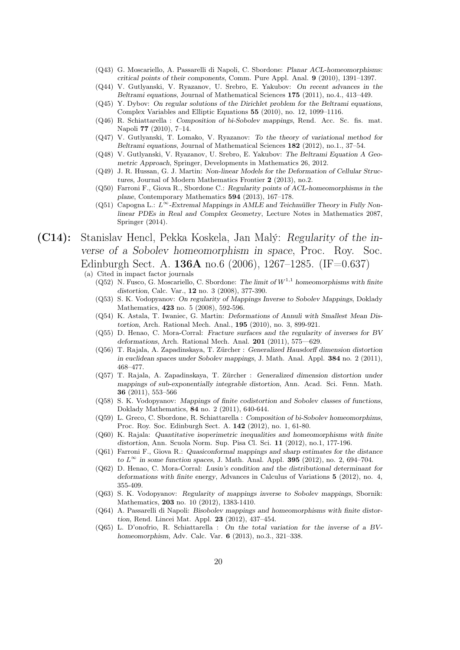- (Q43) G. Moscariello, A. Passarelli di Napoli, C. Sbordone: Planar ACL-homeomorphisms: critical points of their components, Comm. Pure Appl. Anal. 9 (2010), 1391–1397.
- (Q44) V. Gutlyanski, V. Ryazanov, U. Srebro, E. Yakubov: On recent advances in the Beltrami equations, Journal of Mathematical Sciences 175 (2011), no.4., 413–449.
- (Q45) Y. Dybov: On regular solutions of the Dirichlet problem for the Beltrami equations, Complex Variables and Elliptic Equations 55 (2010), no. 12, 1099–1116.
- (Q46) R. Schiattarella : Composition of bi-Sobolev mappings, Rend. Acc. Sc. fis. mat. Napoli 77 (2010), 7–14.
- (Q47) V. Gutlyanski, T. Lomako, V. Ryazanov: To the theory of variational method for Beltrami equations, Journal of Mathematical Sciences 182 (2012), no.1., 37–54.
- (Q48) V. Gutlyanski, V. Ryazanov, U. Srebro, E. Yakubov: The Beltrami Equation A Geometric Approach, Springer, Developments in Mathematics 26, 2012.
- (Q49) J. R. Hussan, G. J. Martin: Non-linear Models for the Deformation of Cellular Structures, Journal of Modern Mathematics Frontier 2 (2013), no.2.
- (Q50) Farroni F., Giova R., Sbordone C.: Regularity points of ACL-homeomorphisms in the plane, Contemporary Mathematics 594 (2013), 167–178.
- (Q51) Capogna L.:  $L^{\infty}$ -Extremal Mappings in AMLE and Teichmüller Theory in Fully Nonlinear PDEs in Real and Complex Geometry, Lecture Notes in Mathematics 2087, Springer (2014).
- (C14): Stanislav Hencl, Pekka Koskela, Jan Malý: Regularity of the inverse of a Sobolev homeomorphism in space, Proc. Roy. Soc. Edinburgh Sect. A. 136A no.6 (2006), 1267–1285. (IF=0.637)
	- (a) Cited in impact factor journals
		- (Q52) N. Fusco, G. Moscariello, C. Sbordone: The limit of  $W^{1,1}$  homeomorphisms with finite distortion, Calc. Var., 12 no. 3 (2008), 377-390.
		- (Q53) S. K. Vodopyanov: On regularity of Mappings Inverse to Sobolev Mappings, Doklady Mathematics, 423 no. 5 (2008), 592-596.
		- (Q54) K. Astala, T. Iwaniec, G. Martin: Deformations of Annuli with Smallest Mean Distortion, Arch. Rational Mech. Anal., 195 (2010), no. 3, 899-921.
		- (Q55) D. Henao, C. Mora-Corral: Fracture surfaces and the regularity of inverses for BV deformations, Arch. Rational Mech. Anal.  $201$  (2011), 575-629.
		- (Q56) T. Rajala, A. Zapadinskaya, T. Zürcher : Generalized Hausdorff dimension distortion in euclidean spaces under Sobolev mappings, J. Math. Anal. Appl. 384 no. 2 (2011), 468–477.
		- (Q57) T. Rajala, A. Zapadinskaya, T. Zürcher : Generalized dimension distortion under mappings of sub-exponentially integrable distortion, Ann. Acad. Sci. Fenn. Math. 36 (2011), 553–566
		- (Q58) S. K. Vodopyanov: Mappings of finite codistortion and Sobolev classes of functions, Doklady Mathematics, 84 no. 2 (2011), 640-644.
		- (Q59) L. Greco, C. Sbordone, R. Schiattarella : Composition of bi-Sobolev homeomorphims, Proc. Roy. Soc. Edinburgh Sect. A. 142 (2012), no. 1, 61-80.
		- (Q60) K. Rajala: Quantitative isoperimetric inequalities and homeomorphisms with finite distortion, Ann. Scuola Norm. Sup. Pisa Cl. Sci. 11 (2012), no.1, 177-196.
		- (Q61) Farroni F., Giova R.: Quasiconformal mappings and sharp estimates for the distance to  $L^{\infty}$  in some function spaces, J. Math. Anal. Appl. 395 (2012), no. 2, 694-704.
		- (Q62) D. Henao, C. Mora-Corral: Lusin's condition and the distributional determinant for deformations with finite energy, Advances in Calculus of Variations 5 (2012), no. 4, 355-409.
		- (Q63) S. K. Vodopyanov: Regularity of mappings inverse to Sobolev mappings, Sbornik: Mathematics, 203 no. 10 (2012), 1383-1410.
		- (Q64) A. Passarelli di Napoli: Bisobolev mappings and homeomorphisms with finite distortion, Rend. Lincei Mat. Appl. 23 (2012), 437–454.
		- (Q65) L. D'onofrio, R. Schiattarella : On the total variation for the inverse of a BVhomeomorphism, Adv. Calc. Var. 6 (2013), no.3., 321–338.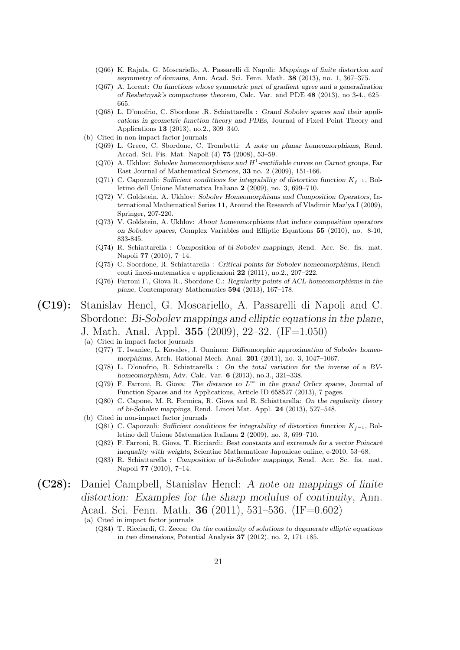- (Q66) K. Rajala, G. Moscariello, A. Passarelli di Napoli: Mappings of finite distortion and asymmetry of domains, Ann. Acad. Sci. Fenn. Math. 38 (2013), no. 1, 367–375.
- (Q67) A. Lorent: On functions whose symmetric part of gradient agree and a generalization of Reshetnyak's compactness theorem, Calc. Var. and PDE 48 (2013), no 3-4., 625– 665.
- (Q68) L. D'onofrio, C. Sbordone ,R. Schiattarella : Grand Sobolev spaces and their applications in geometric function theory and PDEs, Journal of Fixed Point Theory and Applications 13 (2013), no.2., 309–340.
- (b) Cited in non-impact factor journals
	- (Q69) L. Greco, C. Sbordone, C. Trombetti: A note on planar homeomorphisms, Rend. Accad. Sci. Fis. Mat. Napoli (4) 75 (2008), 53–59.
	- (Q70) A. Ukhlov: Sobolev homeomorphisms and  $H^1$ -rectifiable curves on Carnot groups, Far East Journal of Mathematical Sciences, 33 no. 2 (2009), 151-166.
	- (Q71) C. Capozzoli: Sufficient conditions for integrability of distortion function  $K_{f-1}$ , Bolletino dell Unione Matematica Italiana 2 (2009), no. 3, 699–710.
	- (Q72) V. Goldstein, A. Ukhlov: Sobolev Homeomorphisms and Composition Operators, International Mathematical Series 11, Around the Research of Vladimir Maz'ya I (2009), Springer, 207-220.
	- (Q73) V. Goldstein, A. Ukhlov: About homeomorphisms that induce composition operators on Sobolev spaces, Complex Variables and Elliptic Equations 55 (2010), no. 8-10, 833-845.
	- (Q74) R. Schiattarella : Composition of bi-Sobolev mappings, Rend. Acc. Sc. fis. mat. Napoli 77 (2010), 7–14.
	- (Q75) C. Sbordone, R. Schiattarella : Critical points for Sobolev homeomorphisms, Rendiconti lincei-matematica e applicazioni 22 (2011), no.2., 207–222.
	- (Q76) Farroni F., Giova R., Sbordone C.: Regularity points of ACL-homeomorphisms in the plane, Contemporary Mathematics 594 (2013), 167–178.

#### (C19): Stanislav Hencl, G. Moscariello, A. Passarelli di Napoli and C. Sbordone: Bi-Sobolev mappings and elliptic equations in the plane, J. Math. Anal. Appl. 355 (2009), 22–32. (IF=1.050)

(a) Cited in impact factor journals

- (Q77) T. Iwaniec, L. Kovalev, J. Onninen: Diffeomorphic approximation of Sobolev homeomorphisms, Arch. Rational Mech. Anal. 201 (2011), no. 3, 1047–1067.
- (Q78) L. D'onofrio, R. Schiattarella : On the total variation for the inverse of a BVhomeomorphism, Adv. Calc. Var. 6 (2013), no.3., 321–338.
- (Q79) F. Farroni, R. Giova: The distance to  $L^{\infty}$  in the grand Orlicz spaces, Journal of Function Spaces and its Applications, Article ID 658527 (2013), 7 pages.
- (Q80) C. Capone, M. R. Formica, R. Giova and R. Schiattarella: On the regularity theory of bi-Sobolev mappings, Rend. Lincei Mat. Appl. 24 (2013), 527–548.
- (b) Cited in non-impact factor journals (Q81) C. Capozzoli: Sufficient conditions for integrability of distortion function  $K_{f-1}$ , Bolletino dell Unione Matematica Italiana 2 (2009), no. 3, 699–710.
	- (Q82) F. Farroni, R. Giova, T. Ricciardi: Best constants and extremals for a vector Poincaré inequality with weights, Scientiae Mathematicae Japonicae online, e-2010, 53–68.
	- (Q83) R. Schiattarella : Composition of bi-Sobolev mappings, Rend. Acc. Sc. fis. mat. Napoli 77 (2010), 7–14.
- (C28): Daniel Campbell, Stanislav Hencl: A note on mappings of finite distortion: Examples for the sharp modulus of continuity, Ann. Acad. Sci. Fenn. Math. 36 (2011), 531–536. (IF=0.602)
	- (a) Cited in impact factor journals
		- (Q84) T. Ricciardi, G. Zecca: On the continuity of solutions to degenerate elliptic equations in two dimensions, Potential Analysis 37 (2012), no. 2, 171–185.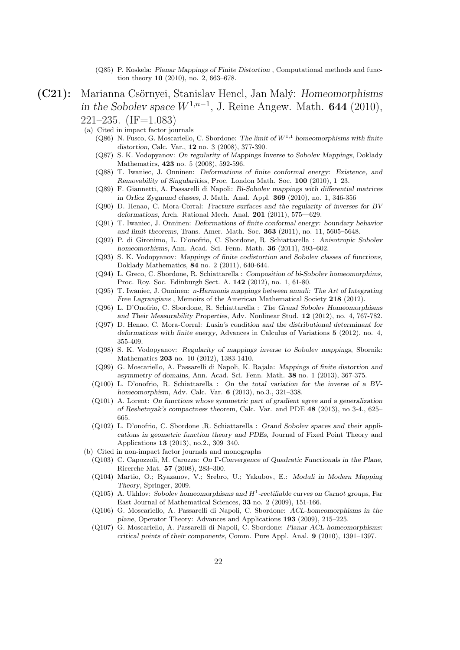- (Q85) P. Koskela: Planar Mappings of Finite Distortion , Computational methods and function theory 10 (2010), no. 2, 663–678.
- (C21): Marianna Csörnyei, Stanislav Hencl, Jan Malý: Homeomorphisms in the Sobolev space  $W^{1,n-1}$ , J. Reine Angew. Math. 644 (2010),  $221-235.$  (IF=1.083)
	- (a) Cited in impact factor journals
		- (Q86) N. Fusco, G. Moscariello, C. Sbordone: The limit of  $W^{1,1}$  homeomorphisms with finite distortion, Calc. Var., 12 no. 3 (2008), 377-390.
		- (Q87) S. K. Vodopyanov: On regularity of Mappings Inverse to Sobolev Mappings, Doklady Mathematics, 423 no. 5 (2008), 592-596.
		- (Q88) T. Iwaniec, J. Onninen: Deformations of finite conformal energy: Existence, and Removability of Singularities, Proc. London Math. Soc. 100 (2010), 1–23.
		- (Q89) F. Giannetti, A. Passarelli di Napoli: Bi-Sobolev mappings with differential matrices in Orlicz Zygmund classes, J. Math. Anal. Appl. 369 (2010), no. 1, 346-356
		- (Q90) D. Henao, C. Mora-Corral: Fracture surfaces and the regularity of inverses for BV deformations, Arch. Rational Mech. Anal. 201 (2011), 575—629.
		- (Q91) T. Iwaniec, J. Onninen: Deformations of finite conformal energy: boundary behavior and limit theorems, Trans. Amer. Math. Soc. 363 (2011), no. 11, 5605–5648.
		- (Q92) P. di Gironimo, L. D'onofrio, C. Sbordone, R. Schiattarella : Anisotropic Sobolev homeomorhisms, Ann. Acad. Sci. Fenn. Math. 36 (2011), 593–602.
		- (Q93) S. K. Vodopyanov: Mappings of finite codistortion and Sobolev classes of functions, Doklady Mathematics, 84 no. 2 (2011), 640-644.
		- (Q94) L. Greco, C. Sbordone, R. Schiattarella : Composition of bi-Sobolev homeomorphims, Proc. Roy. Soc. Edinburgh Sect. A. 142 (2012), no. 1, 61-80.
		- (Q95) T. Iwaniec, J. Onninen: n-Harmonis mappings between annuli: The Art of Integrating Free Lagrangians, Memoirs of the American Mathematical Society 218 (2012).
		- (Q96) L. D'Onofrio, C. Sbordone, R. Schiattarella : The Grand Sobolev Homeomorphisms and Their Measurability Properties, Adv. Nonlinear Stud. 12 (2012), no. 4, 767-782.
		- (Q97) D. Henao, C. Mora-Corral: Lusin's condition and the distributional determinant for deformations with finite energy, Advances in Calculus of Variations 5 (2012), no. 4, 355-409.
		- (Q98) S. K. Vodopyanov: Regularity of mappings inverse to Sobolev mappings, Sbornik: Mathematics 203 no. 10 (2012), 1383-1410.
		- (Q99) G. Moscariello, A. Passarelli di Napoli, K. Rajala: Mappings of finite distortion and asymmetry of domains, Ann. Acad. Sci. Fenn. Math. 38 no. 1 (2013), 367-375.
		- (Q100) L. D'onofrio, R. Schiattarella : On the total variation for the inverse of a BVhomeomorphism, Adv. Calc. Var. 6 (2013), no.3., 321–338.
		- (Q101) A. Lorent: On functions whose symmetric part of gradient agree and a generalization of Reshetnyak's compactness theorem, Calc. Var. and PDE 48 (2013), no 3-4., 625– 665.
		- (Q102) L. D'onofrio, C. Sbordone ,R. Schiattarella : Grand Sobolev spaces and their applications in geometric function theory and PDEs, Journal of Fixed Point Theory and Applications 13 (2013), no.2., 309–340.
	- (b) Cited in non-impact factor journals and monographs
		- (Q103) C. Capozzoli, M. Carozza: On Γ-Convergence of Quadratic Functionals in the Plane, Ricerche Mat. 57 (2008), 283–300.
		- (Q104) Martio, O.; Ryazanov, V.; Srebro, U.; Yakubov, E.: Moduli in Modern Mapping Theory, Springer, 2009.
		- $(Q105)$  A. Ukhlov: Sobolev homeomorphisms and  $H^1$ -rectifiable curves on Carnot groups, Far East Journal of Mathematical Sciences, 33 no. 2 (2009), 151-166.
		- (Q106) G. Moscariello, A. Passarelli di Napoli, C. Sbordone: ACL-homeomorphisms in the plane, Operator Theory: Advances and Applications 193 (2009), 215–225.
		- (Q107) G. Moscariello, A. Passarelli di Napoli, C. Sbordone: Planar ACL-homeomorphisms: critical points of their components, Comm. Pure Appl. Anal. 9 (2010), 1391–1397.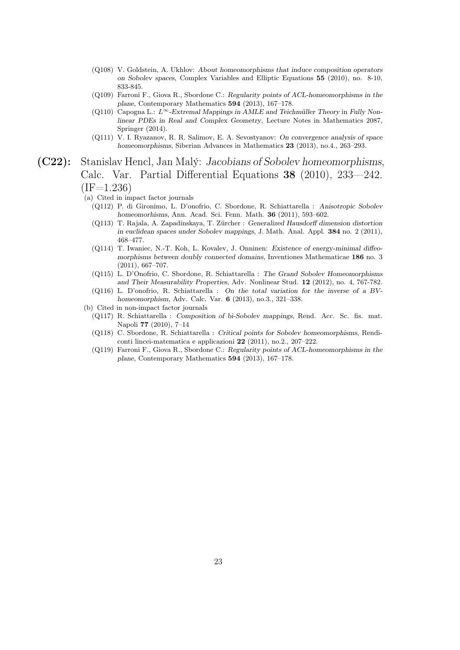- (Q108) V. Goldstein, A. Ukhlov: About homeomorphisms that induce composition operators on Sobolev spaces, Complex Variables and Elliptic Equations 55 (2010), no. 8-10, 833-845.
- (Q109) Farroni F., Giova R., Sbordone C.: Regularity points of ACL-homeomorphisms in the plane, Contemporary Mathematics 594 (2013), 167–178.
- (Q110) Capogna L.:  $L^{\infty}$ -Extremal Mappings in AMLE and Teichmüller Theory in Fully Nonlinear PDEs in Real and Complex Geometry, Lecture Notes in Mathematics 2087, Springer (2014).
- (Q111) V. I. Ryazanov, R. R. Salimov, E. A. Sevostyanov: On convergence analysis of space homeomorphisms, Siberian Advances in Mathematics 23 (2013), no.4., 263–293.

#### (C22): Stanislav Hencl, Jan Malý: Jacobians of Sobolev homeomorphisms, Calc. Var. Partial Differential Equations 38 (2010), 233—242.  $(IF=1.236)$

- (a) Cited in impact factor journals
	- (Q112) P. di Gironimo, L. D'onofrio, C. Sbordone, R. Schiattarella : Anisotropic Sobolev homeomorhisms, Ann. Acad. Sci. Fenn. Math. 36 (2011), 593–602.
	- (Q113) T. Rajala, A. Zapadinskaya, T. Zürcher : Generalized Hausdorff dimension distortion in euclidean spaces under Sobolev mappings, J. Math. Anal. Appl. 384 no. 2 (2011), 468–477.
	- (Q114) T. Iwaniec, N.-T. Koh, L. Kovalev, J. Onninen: Existence of energy-minimal diffeomorphisms between doubly connected domains, Inventiones Mathematicae 186 no. 3 (2011), 667–707.
	- (Q115) L. D'Onofrio, C. Sbordone, R. Schiattarella : The Grand Sobolev Homeomorphisms and Their Measurability Properties, Adv. Nonlinear Stud. 12 (2012), no. 4, 767-782.
	- (Q116) L. D'onofrio, R. Schiattarella : On the total variation for the inverse of a BVhomeomorphism, Adv. Calc. Var. 6 (2013), no.3., 321–338.
- (b) Cited in non-impact factor journals
	- (Q117) R. Schiattarella : Composition of bi-Sobolev mappings, Rend. Acc. Sc. fis. mat. Napoli 77 (2010), 7–14
	- (Q118) C. Sbordone, R. Schiattarella : Critical points for Sobolev homeomorphisms, Rendiconti lincei-matematica e applicazioni 22 (2011), no.2., 207–222.
	- (Q119) Farroni F., Giova R., Sbordone C.: Regularity points of ACL-homeomorphisms in the plane, Contemporary Mathematics 594 (2013), 167–178.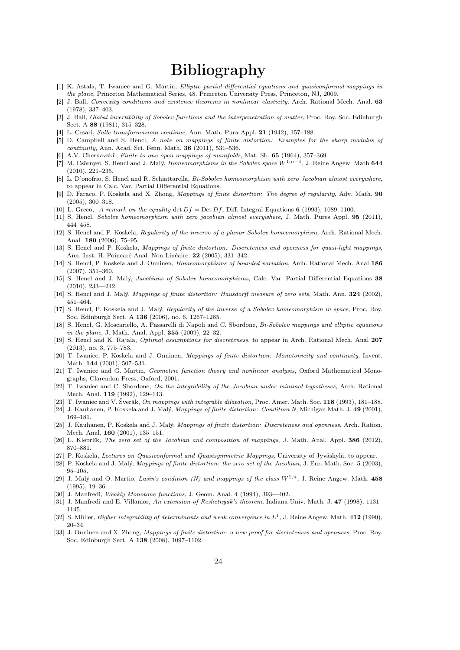## Bibliography

- [1] K. Astala, T. Iwaniec and G. Martin, Elliptic partial differential equations and quasiconformal mappings in the plane, Princeton Mathematical Series, 48. Princeton University Press, Princeton, NJ, 2009.
- [2] J. Ball, Convexity conditions and existence theorems in nonlinear elasticity, Arch. Rational Mech. Anal. 63 (1978), 337–403.
- [3] J. Ball, *Global invertibility of Sobolev functions and the interpenetration of matter*, Proc. Roy. Soc. Edinburgh Sect. A 88 (1981), 315–328.
- [4] L. Cesari, Sulle transformazioni continue, Ann. Math. Pura Appl. 21 (1942), 157–188.
- [5] D. Campbell and S. Hencl, A note on mappings of finite distortion: Examples for the sharp modulus of continuity, Ann. Acad. Sci. Fenn. Math. 36 (2011), 531–536.
- [6] A.V. Chernavskii, Finite to one open mappings of manifolds, Mat. Sb. 65 (1964), 357–369.
- [7] M. Csörnyei, S. Hencl and J. Malý, *Homeomorphisms in the Sobolev space*  $W^{1,n-1}$ , J. Reine Angew. Math 644 (2010), 221–235.
- [8] L. D'onofrio, S. Hencl and R. Schiattarella, Bi-Sobolev homeomorphism with zero Jacobian almost everywhere, to appear in Calc. Var. Partial Differential Equations.
- [9] D. Faraco, P. Koskela and X. Zhong, Mappings of finite distortion: The degree of regularity, Adv. Math. 90 (2005), 300–318.
- [10] L. Greco, A remark on the equality det  $Df = \text{Det } Df$ , Diff. Integral Equations 6 (1993), 1089–1100.
- [11] S. Hencl, Sobolev homeomorphism with zero jacobian almost everywhere, J. Math. Pures Appl. 95 (2011), 444–458.
- [12] S. Hencl and P. Koskela, Regularity of the inverse of a planar Sobolev homeomorphism, Arch. Rational Mech. Anal 180 (2006), 75–95.
- [13] S. Hencl and P. Koskela, Mappings of finite distortion: Discreteness and openness for quasi-light mappings, Ann. Inst. H. Poincaré Anal. Non Linéaire. 22 (2005), 331–342.
- [14] S. Hencl, P. Koskela and J. Onninen, Homeomorphisms of bounded variation, Arch. Rational Mech. Anal 186 (2007), 351–360.
- [15] S. Hencl and J. Malý, Jacobians of Sobolev homeomorphisms, Calc. Var. Partial Differential Equations 38 (2010), 233—242.
- [16] S. Hencl and J. Malý, Mappings of finite distortion: Hausdorff measure of zero sets, Math. Ann. 324 (2002), 451–464.
- [17] S. Hencl, P. Koskela and J. Malý, Regularity of the inverse of a Sobolev homeomorphism in space, Proc. Roy. Soc. Edinburgh Sect. A 136 (2006), no. 6, 1267–1285.
- [18] S. Hencl, G. Moscariello, A. Passarelli di Napoli and C. Sbordone, Bi-Sobolev mappings and elliptic equations in the plane, J. Math. Anal. Appl. 355 (2009), 22–32.
- [19] S. Hencl and K. Rajala, Optimal assumptions for discreteness, to appear in Arch. Rational Mech. Anal 207 (2013), no. 3, 775–783.
- [20] T. Iwaniec, P. Koskela and J. Onninen, Mappings of finite distortion: Monotonicity and continuity, Invent. Math. **144** (2001), 507-531.
- [21] T. Iwaniec and G. Martin, Geometric function theory and nonlinear analysis, Oxford Mathematical Monographs, Clarendon Press, Oxford, 2001.
- [22] T. Iwaniec and C. Sbordone, On the integrability of the Jacobian under minimal hypotheses, Arch. Rational Mech. Anal. 119 (1992), 129–143.
- [23] T. Iwaniec and V. Šverák, On mappings with integrable dilatation, Proc. Amer. Math. Soc. 118 (1993), 181-188.
- [24] J. Kauhanen, P. Koskela and J. Malý, Mappings of finite distortion: Condition N, Michigan Math. J. 49 (2001), 169–181.
- [25] J. Kauhanen, P. Koskela and J. Malý, Mappings of finite distortion: Discreteness and openness, Arch. Ration. Mech. Anal. 160 (2001), 135–151.
- [26] L. Kleprlík, *The zero set of the Jacobian and composition of mappings*, J. Math. Anal. Appl. **386** (2012), 870–881.
- [27] P. Koskela, Lectures on Quasiconformal and Quasisymmetric Mappings, University of Jyväskylä, to appear.
- [28] P. Koskela and J. Malý, Mappings of finite distortion: the zero set of the Jacobian, J. Eur. Math. Soc. 5 (2003), 95–105.
- [29] J. Malý and O. Martio, Lusin's condition (N) and mappings of the class  $W^{1,n}$ , J. Reine Angew. Math. 458 (1995), 19–36.
- [30] J. Manfredi, Weakly Monotone functions, J. Geom. Anal. 4 (1994), 393—402.
- [31] J. Manfredi and E. Villamor, An extension of Reshetnyak's theorem, Indiana Univ. Math. J. 47 (1998), 1131– 1145.
- [32] S. Müller, *Higher integrability of determinants and weak convergence in*  $L^1$ , J. Reine Angew. Math. 412 (1990), 20–34.
- [33] J. Onninen and X. Zhong, Mappings of finite distortion: a new proof for discreteness and openness, Proc. Roy. Soc. Edinburgh Sect. A 138 (2008), 1097–1102.